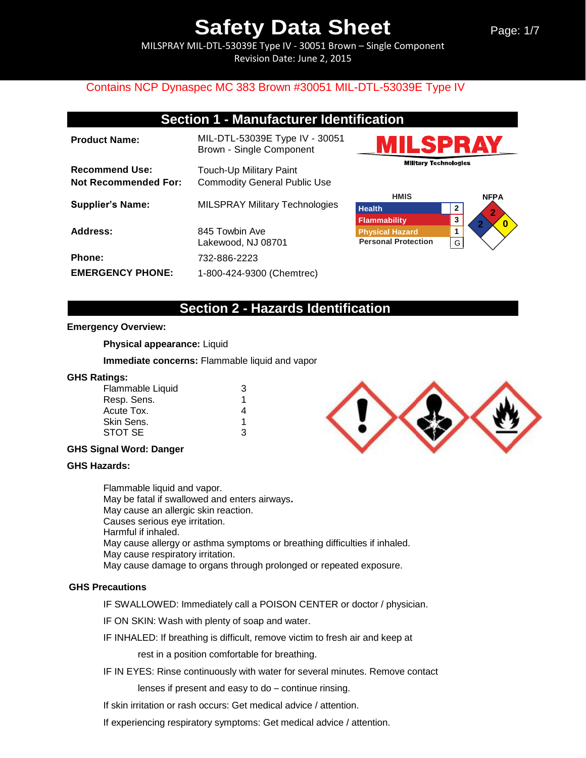MILSPRAY MIL-DTL-53039E Type IV - 30051 Brown – Single Component Revision Date: June 2, 2015

## Contains NCP Dynaspec MC 383 Brown #30051 MIL-DTL-53039E Type IV

## **Section 1 - Manufacturer Identification**

| <b>Product Name:</b>                                 | MIL-DTL-53039E Type IV - 30051<br>Brown - Single Component     |
|------------------------------------------------------|----------------------------------------------------------------|
| <b>Recommend Use:</b><br><b>Not Recommended For:</b> | Touch-Up Military Paint<br><b>Commodity General Public Use</b> |
| <b>Supplier's Name:</b>                              | <b>MILSPRAY Military Technologies</b>                          |
| Address:                                             | 845 Towbin Ave<br>Lakewood, NJ 08701                           |
| <b>Phone:</b>                                        | 732-886-2223                                                   |
| <b>EMERGENCY PHONE:</b>                              | 1-800-424-9300 (Chemtrec)                                      |





## **Section 2 - Hazards Identification**

### **Emergency Overview:**

**Physical appearance:** Liquid

**Immediate concerns:** Flammable liquid and vapor

#### **GHS Ratings:**

| Flammable Liquid | 3 |
|------------------|---|
| Resp. Sens.      | 1 |
| Acute Tox.       | 4 |
| Skin Sens.       | 1 |
| STOT SE          | ঽ |

### **GHS Signal Word: Danger**

### **GHS Hazards:**

Flammable liquid and vapor. May be fatal if swallowed and enters airways**.**  May cause an allergic skin reaction. Causes serious eye irritation. Harmful if inhaled. May cause allergy or asthma symptoms or breathing difficulties if inhaled. May cause respiratory irritation. May cause damage to organs through prolonged or repeated exposure.

### **GHS Precautions**

IF SWALLOWED: Immediately call a POISON CENTER or doctor / physician.

IF ON SKIN: Wash with plenty of soap and water.

IF INHALED: If breathing is difficult, remove victim to fresh air and keep at

rest in a position comfortable for breathing.

IF IN EYES: Rinse continuously with water for several minutes. Remove contact

lenses if present and easy to do – continue rinsing.

If skin irritation or rash occurs: Get medical advice / attention.

If experiencing respiratory symptoms: Get medical advice / attention.

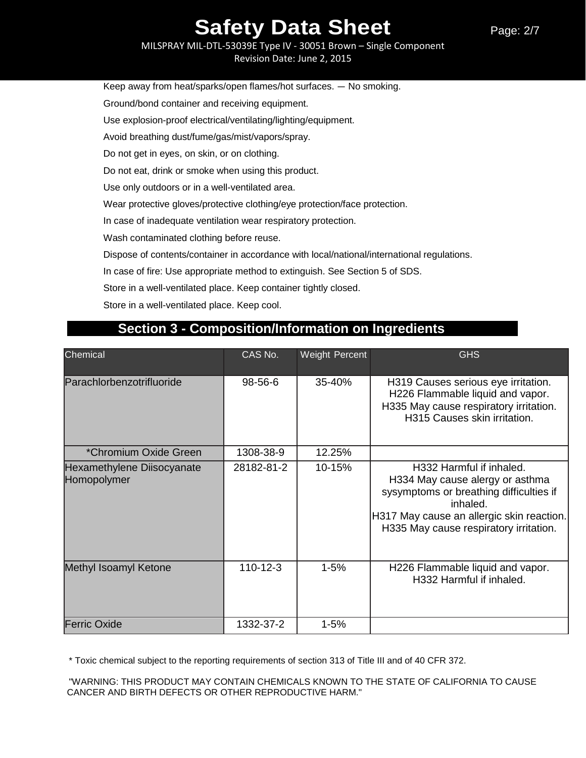MILSPRAY MIL-DTL-53039E Type IV - 30051 Brown – Single Component Revision Date: June 2, 2015

Keep away from heat/sparks/open flames/hot surfaces. — No smoking. Ground/bond container and receiving equipment. Use explosion-proof electrical/ventilating/lighting/equipment. Avoid breathing dust/fume/gas/mist/vapors/spray. Do not get in eyes, on skin, or on clothing. Do not eat, drink or smoke when using this product. Use only outdoors or in a well-ventilated area. Wear protective gloves/protective clothing/eye protection/face protection. In case of inadequate ventilation wear respiratory protection. Wash contaminated clothing before reuse. Dispose of contents/container in accordance with local/national/international regulations. In case of fire: Use appropriate method to extinguish. See Section 5 of SDS. Store in a well-ventilated place. Keep container tightly closed. Store in a well-ventilated place. Keep cool.

| Chemical                                  | CAS No.        | <b>Weight Percent</b> | <b>GHS</b>                                                                                                                                                                                                |
|-------------------------------------------|----------------|-----------------------|-----------------------------------------------------------------------------------------------------------------------------------------------------------------------------------------------------------|
| Parachlorbenzotrifluoride                 | 98-56-6        | 35-40%                | H319 Causes serious eye irritation.<br>H226 Flammable liquid and vapor.<br>H335 May cause respiratory irritation.<br>H315 Causes skin irritation.                                                         |
| *Chromium Oxide Green                     | 1308-38-9      | 12.25%                |                                                                                                                                                                                                           |
| Hexamethylene Diisocyanate<br>Homopolymer | 28182-81-2     | 10-15%                | H332 Harmful if inhaled.<br>H334 May cause alergy or asthma<br>sysymptoms or breathing difficulties if<br>inhaled.<br>H317 May cause an allergic skin reaction.<br>H335 May cause respiratory irritation. |
| Methyl Isoamyl Ketone                     | $110 - 12 - 3$ | $1 - 5%$              | H226 Flammable liquid and vapor.<br>H332 Harmful if inhaled.                                                                                                                                              |
| <b>Ferric Oxide</b>                       | 1332-37-2      | $1 - 5%$              |                                                                                                                                                                                                           |

## **Section 3 - Composition/Information on Ingredients**

\* Toxic chemical subject to the reporting requirements of section 313 of Title III and of 40 CFR 372.

"WARNING: THIS PRODUCT MAY CONTAIN CHEMICALS KNOWN TO THE STATE OF CALIFORNIA TO CAUSE CANCER AND BIRTH DEFECTS OR OTHER REPRODUCTIVE HARM."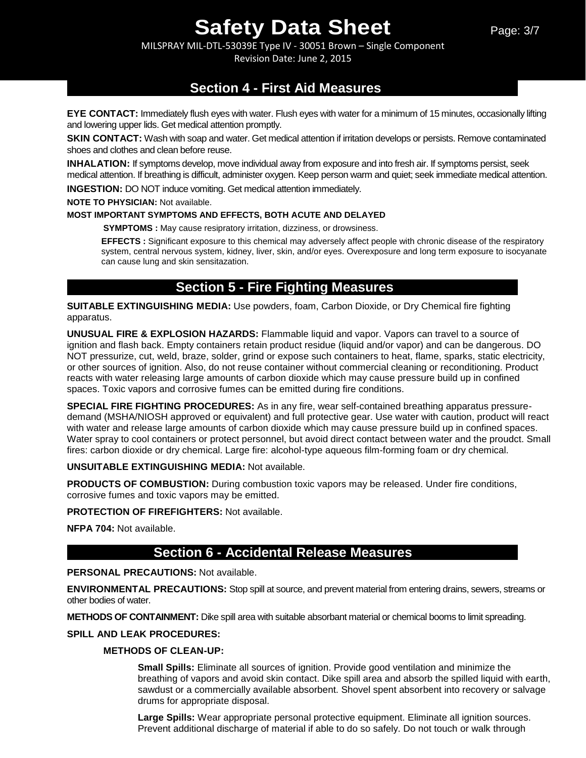MILSPRAY MIL-DTL-53039E Type IV - 30051 Brown – Single Component Revision Date: June 2, 2015

## **Section 4 - First Aid Measures**

**EYE CONTACT:** Immediately flush eyes with water. Flush eyes with water for a minimum of 15 minutes, occasionally lifting and lowering upper lids. Get medical attention promptly.

**SKIN CONTACT:** Wash with soap and water. Get medical attention if irritation develops or persists. Remove contaminated shoes and clothes and clean before reuse.

**INHALATION:** If symptoms develop, move individual away from exposure and into fresh air. If symptoms persist, seek medical attention. If breathing is difficult, administer oxygen. Keep person warm and quiet; seek immediate medical attention.

**INGESTION:** DO NOT induce vomiting. Get medical attention immediately.

**NOTE TO PHYSICIAN:** Not available.

### **MOST IMPORTANT SYMPTOMS AND EFFECTS, BOTH ACUTE AND DELAYED**

**SYMPTOMS :** May cause resipratory irritation, dizziness, or drowsiness.

**EFFECTS :** Significant exposure to this chemical may adversely affect people with chronic disease of the respiratory system, central nervous system, kidney, liver, skin, and/or eyes. Overexposure and long term exposure to isocyanate can cause lung and skin sensitazation.

## **Section 5 - Fire Fighting Measures**

**SUITABLE EXTINGUISHING MEDIA:** Use powders, foam, Carbon Dioxide, or Dry Chemical fire fighting apparatus.

**UNUSUAL FIRE & EXPLOSION HAZARDS:** Flammable liquid and vapor. Vapors can travel to a source of ignition and flash back. Empty containers retain product residue (liquid and/or vapor) and can be dangerous. DO NOT pressurize, cut, weld, braze, solder, grind or expose such containers to heat, flame, sparks, static electricity, or other sources of ignition. Also, do not reuse container without commercial cleaning or reconditioning. Product reacts with water releasing large amounts of carbon dioxide which may cause pressure build up in confined spaces. Toxic vapors and corrosive fumes can be emitted during fire conditions.

**SPECIAL FIRE FIGHTING PROCEDURES:** As in any fire, wear self-contained breathing apparatus pressuredemand (MSHA/NIOSH approved or equivalent) and full protective gear. Use water with caution, product will react with water and release large amounts of carbon dioxide which may cause pressure build up in confined spaces. Water spray to cool containers or protect personnel, but avoid direct contact between water and the proudct. Small fires: carbon dioxide or dry chemical. Large fire: alcohol-type aqueous film-forming foam or dry chemical.

### **UNSUITABLE EXTINGUISHING MEDIA:** Not available.

**PRODUCTS OF COMBUSTION:** During combustion toxic vapors may be released. Under fire conditions, corrosive fumes and toxic vapors may be emitted.

**PROTECTION OF FIREFIGHTERS:** Not available.

**NFPA 704:** Not available.

## **Section 6 - Accidental Release Measures**

### **PERSONAL PRECAUTIONS:** Not available.

**ENVIRONMENTAL PRECAUTIONS:** Stop spill at source, and prevent material from entering drains, sewers, streams or other bodies of water.

**METHODS OF CONTAINMENT:** Dike spill area with suitable absorbant material or chemical booms to limit spreading.

### **SPILL AND LEAK PROCEDURES:**

### **METHODS OF CLEAN-UP:**

**Small Spills:** Eliminate all sources of ignition. Provide good ventilation and minimize the breathing of vapors and avoid skin contact. Dike spill area and absorb the spilled liquid with earth, sawdust or a commercially available absorbent. Shovel spent absorbent into recovery or salvage drums for appropriate disposal.

**Large Spills:** Wear appropriate personal protective equipment. Eliminate all ignition sources. Prevent additional discharge of material if able to do so safely. Do not touch or walk through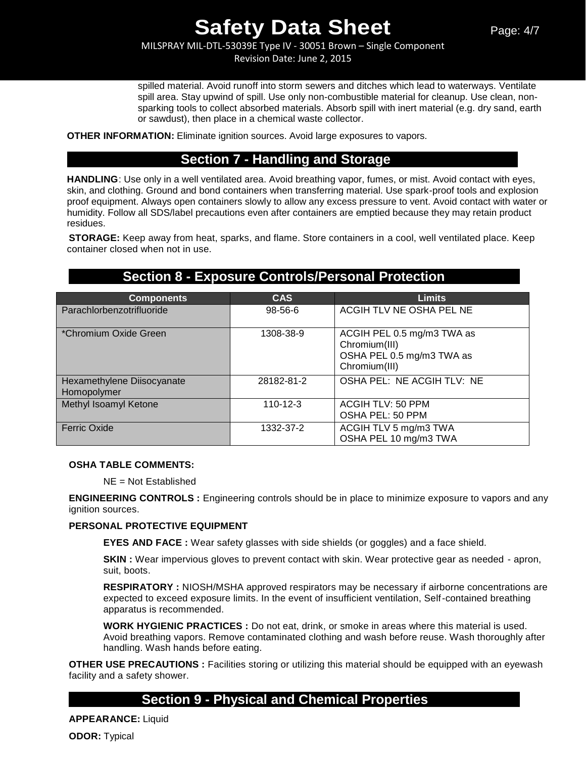MILSPRAY MIL-DTL-53039E Type IV - 30051 Brown – Single Component Revision Date: June 2, 2015

spilled material. Avoid runoff into storm sewers and ditches which lead to waterways. Ventilate spill area. Stay upwind of spill. Use only non-combustible material for cleanup. Use clean, nonsparking tools to collect absorbed materials. Absorb spill with inert material (e.g. dry sand, earth or sawdust), then place in a chemical waste collector.

**OTHER INFORMATION:** Eliminate ignition sources. Avoid large exposures to vapors.

## **Section 7 - Handling and Storage**

**HANDLING**: Use only in a well ventilated area. Avoid breathing vapor, fumes, or mist. Avoid contact with eyes, skin, and clothing. Ground and bond containers when transferring material. Use spark-proof tools and explosion proof equipment. Always open containers slowly to allow any excess pressure to vent. Avoid contact with water or humidity. Follow all SDS/label precautions even after containers are emptied because they may retain product residues.

**STORAGE:** Keep away from heat, sparks, and flame. Store containers in a cool, well ventilated place. Keep container closed when not in use.

## **Section 8 - Exposure Controls/Personal Protection**

| <b>Components</b>                         | <b>CAS</b>     | <b>Limits</b>                                                                             |
|-------------------------------------------|----------------|-------------------------------------------------------------------------------------------|
| Parachlorbenzotrifluoride                 | 98-56-6        | ACGIH TLV NE OSHA PEL NE                                                                  |
| *Chromium Oxide Green                     | 1308-38-9      | ACGIH PEL 0.5 mg/m3 TWA as<br>Chromium(III)<br>OSHA PEL 0.5 mg/m3 TWA as<br>Chromium(III) |
| Hexamethylene Diisocyanate<br>Homopolymer | 28182-81-2     | OSHA PEL: NE ACGIH TLV: NE                                                                |
| Methyl Isoamyl Ketone                     | $110 - 12 - 3$ | <b>ACGIH TLV: 50 PPM</b><br>OSHA PEL: 50 PPM                                              |
| <b>Ferric Oxide</b>                       | 1332-37-2      | ACGIH TLV 5 mg/m3 TWA<br>OSHA PEL 10 mg/m3 TWA                                            |

### **OSHA TABLE COMMENTS:**

NE = Not Established

**ENGINEERING CONTROLS :** Engineering controls should be in place to minimize exposure to vapors and any ignition sources.

### **PERSONAL PROTECTIVE EQUIPMENT**

**EYES AND FACE :** Wear safety glasses with side shields (or goggles) and a face shield.

**SKIN** : Wear impervious gloves to prevent contact with skin. Wear protective gear as needed - apron, suit, boots.

**RESPIRATORY :** NIOSH/MSHA approved respirators may be necessary if airborne concentrations are expected to exceed exposure limits. In the event of insufficient ventilation, Self-contained breathing apparatus is recommended.

**WORK HYGIENIC PRACTICES :** Do not eat, drink, or smoke in areas where this material is used. Avoid breathing vapors. Remove contaminated clothing and wash before reuse. Wash thoroughly after handling. Wash hands before eating.

**OTHER USE PRECAUTIONS :** Facilities storing or utilizing this material should be equipped with an eyewash facility and a safety shower.

## **Section 9 - Physical and Chemical Properties**

**APPEARANCE:** Liquid

**ODOR:** Typical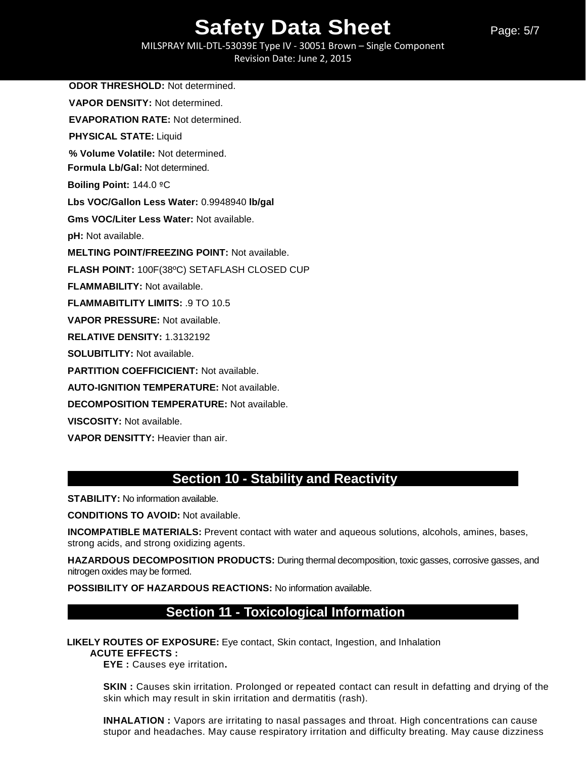Page: 5/7

MILSPRAY MIL-DTL-53039E Type IV - 30051 Brown – Single Component Revision Date: June 2, 2015

**ODOR THRESHOLD:** Not determined. **VAPOR DENSITY:** Not determined. **EVAPORATION RATE:** Not determined. **PHYSICAL STATE:** Liquid **% Volume Volatile:** Not determined. **Formula Lb/Gal:** Not determined. **Boiling Point:** 144.0 ºC **Lbs VOC/Gallon Less Water:** 0.9948940 **lb/gal Gms VOC/Liter Less Water:** Not available. **pH:** Not available. **MELTING POINT/FREEZING POINT:** Not available. **FLASH POINT:** 100F(38ºC) SETAFLASH CLOSED CUP **FLAMMABILITY:** Not available. **FLAMMABITLITY LIMITS:** .9 TO 10.5 **VAPOR PRESSURE:** Not available. **RELATIVE DENSITY:** 1.3132192 **SOLUBITLITY:** Not available. **PARTITION COEFFICICIENT:** Not available. **AUTO-IGNITION TEMPERATURE:** Not available. **DECOMPOSITION TEMPERATURE:** Not available. **VISCOSITY:** Not available.

**VAPOR DENSITTY:** Heavier than air.

## **Section 10 - Stability and Reactivity**

**STABILITY:** No information available.

**CONDITIONS TO AVOID:** Not available.

**INCOMPATIBLE MATERIALS:** Prevent contact with water and aqueous solutions, alcohols, amines, bases, strong acids, and strong oxidizing agents.

**HAZARDOUS DECOMPOSITION PRODUCTS:** During thermal decomposition, toxic gasses, corrosive gasses, and nitrogen oxides may be formed.

**POSSIBILITY OF HAZARDOUS REACTIONS:** No information available.

## **Section 11 - Toxicological Information**

**LIKELY ROUTES OF EXPOSURE:** Eye contact, Skin contact, Ingestion, and Inhalation

**ACUTE EFFECTS :** 

**EYE :** Causes eye irritation**.** 

**SKIN** : Causes skin irritation. Prolonged or repeated contact can result in defatting and drying of the skin which may result in skin irritation and dermatitis (rash).

**INHALATION :** Vapors are irritating to nasal passages and throat. High concentrations can cause stupor and headaches. May cause respiratory irritation and difficulty breating. May cause dizziness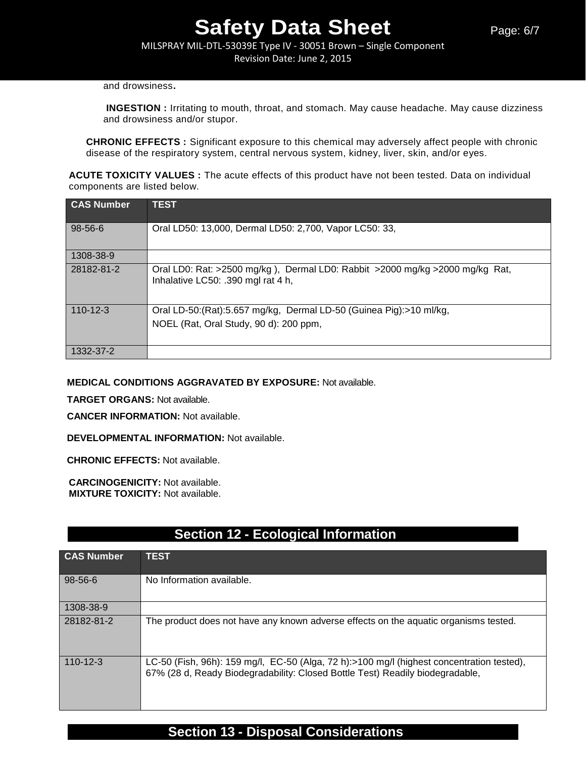MILSPRAY MIL-DTL-53039E Type IV - 30051 Brown – Single Component Revision Date: June 2, 2015

#### and drowsiness**.**

**INGESTION :** Irritating to mouth, throat, and stomach. May cause headache. May cause dizziness and drowsiness and/or stupor.

**CHRONIC EFFECTS :** Significant exposure to this chemical may adversely affect people with chronic disease of the respiratory system, central nervous system, kidney, liver, skin, and/or eyes.

**ACUTE TOXICITY VALUES :** The acute effects of this product have not been tested. Data on individual components are listed below.

| <b>CAS Number</b> | <b>TEST</b>                                                                                                        |
|-------------------|--------------------------------------------------------------------------------------------------------------------|
| 98-56-6           | Oral LD50: 13,000, Dermal LD50: 2,700, Vapor LC50: 33,                                                             |
| 1308-38-9         |                                                                                                                    |
| 28182-81-2        | Oral LD0: Rat: >2500 mg/kg), Dermal LD0: Rabbit >2000 mg/kg >2000 mg/kg Rat,<br>Inhalative LC50: .390 mgl rat 4 h, |
| $110 - 12 - 3$    | Oral LD-50:(Rat):5.657 mg/kg, Dermal LD-50 (Guinea Pig):>10 ml/kg,                                                 |
|                   | NOEL (Rat, Oral Study, 90 d): 200 ppm,                                                                             |
| 1332-37-2         |                                                                                                                    |

**MEDICAL CONDITIONS AGGRAVATED BY EXPOSURE:** Not available.

**TARGET ORGANS:** Not available.

**CANCER INFORMATION:** Not available.

**DEVELOPMENTAL INFORMATION:** Not available.

**CHRONIC EFFECTS:** Not available.

**CARCINOGENICITY:** Not available. **MIXTURE TOXICITY:** Not available.

## **Section 12 - Ecological Information**

| <b>CAS Number</b> | <b>TEST</b>                                                                                                                                                                |
|-------------------|----------------------------------------------------------------------------------------------------------------------------------------------------------------------------|
| 98-56-6           | No Information available.                                                                                                                                                  |
| 1308-38-9         |                                                                                                                                                                            |
| 28182-81-2        | The product does not have any known adverse effects on the aquatic organisms tested.                                                                                       |
| $110 - 12 - 3$    | LC-50 (Fish, 96h): 159 mg/l, EC-50 (Alga, 72 h):>100 mg/l (highest concentration tested),<br>67% (28 d, Ready Biodegradability: Closed Bottle Test) Readily biodegradable, |

## **Section 13 - Disposal Considerations**